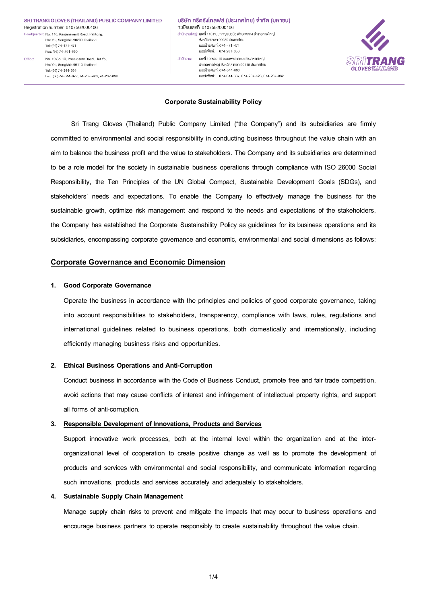SRI TRANG GLOVES (THAILAND) PUBLIC COMPANY LIMITED Registration number 0107562000106

Headquarter: No. 110, Kanjanavanit Road, Pahtong, Hat Yai, Songkhla 90230 Thailand Tel: (66) 74-471-471 Fax: (66) 74-291-650 Office: No. 10 Soi 10, Phetkasem Road, Hat Yai, Hat Yai, Songkhla 90110 Thailand Tel: (66) 74-344-663 Fax: (66) 74-344-677, 74-237-423, 74-237-832

้บริษัท ศรีตรังโกลฟส์ (ประเทศไทย) จำกัด (มหาชน) ทะเบียบเลขที่ 0107562000106 ้สำนักงานใหญ่: เลงที่ 110 ถนนกาญจนวนิช ตำบลพะตง อำเภอหาศใหญ่ จังหวัดสงขอา 90230 ประเทศไทย IUOSInsñwn: 074-471-471 เบอร์แฟ็กซ์: 074-291-650 สำนักงาน: เลขที่ 10 ซอย 10 ถนนเพชรเกษม ตำบลหาดใหญ่ อำเภอหาดใหญ่ จังหวัดสงขลา 90110 ประเทศไทย IUOSInsAwn: 074-344-663

เบอร์แฟ็กซ์: 074-344-667, 074-237-423, 074-237-832



### **Corporate Sustainability Policy**

Sri Trang Gloves (Thailand) Public Company Limited ("the Company") and its subsidiaries are firmly committed to environmental and social responsibility in conducting business throughout the value chain with an aim to balance the business profit and the value to stakeholders. The Company and its subsidiaries are determined to be a role model for the society in sustainable business operations through compliance with ISO 26000 Social Responsibility, the Ten Principles of the UN Global Compact, Sustainable Development Goals (SDGs), and stakeholders' needs and expectations. To enable the Company to effectively manage the business for the sustainable growth, optimize risk management and respond to the needs and expectations of the stakeholders, the Company has established the Corporate Sustainability Policy as guidelines for its business operations and its subsidiaries, encompassing corporate governance and economic, environmental and social dimensions as follows:

# **Corporate Governance and Economic Dimension**

### **1. Good Corporate Governance**

Operate the business in accordance with the principles and policies of good corporate governance, taking into account responsibilities to stakeholders, transparency, compliance with laws, rules, regulations and international guidelines related to business operations, both domestically and internationally, including efficiently managing business risks and opportunities.

#### **2. Ethical Business Operations and Anti-Corruption**

Conduct business in accordance with the Code of Business Conduct, promote free and fair trade competition, avoid actions that may cause conflicts of interest and infringement of intellectual property rights, and support all forms of anti-corruption.

#### **3. Responsible Development of Innovations, Products and Services**

Support innovative work processes, both at the internal level within the organization and at the interorganizational level of cooperation to create positive change as well as to promote the development of products and services with environmental and social responsibility, and communicate information regarding such innovations, products and services accurately and adequately to stakeholders.

#### **4. Sustainable Supply Chain Management**

Manage supply chain risks to prevent and mitigate the impacts that may occur to business operations and encourage business partners to operate responsibly to create sustainability throughout the value chain.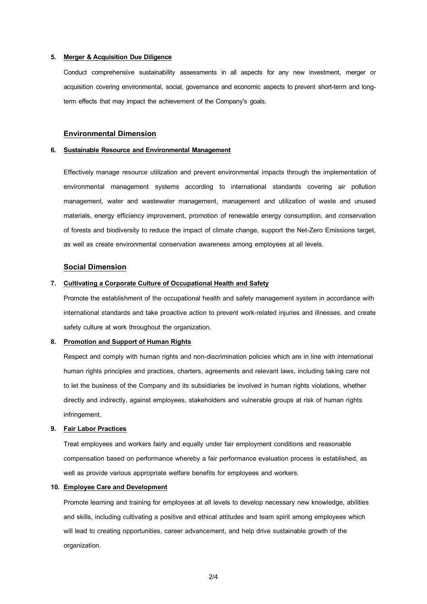#### **5. Merger & Acquisition Due Diligence**

Conduct comprehensive sustainability assessments in all aspects for any new investment, merger or acquisition covering environmental, social, governance and economic aspects to prevent short-term and longterm effects that may impact the achievement of the Company's goals.

# **Environmental Dimension**

#### **6. Sustainable Resource and Environmental Management**

Effectively manage resource utilization and prevent environmental impacts through the implementation of environmental management systems according to international standards covering air pollution management, water and wastewater management, management and utilization of waste and unused materials, energy efficiency improvement, promotion of renewable energy consumption, and conservation of forests and biodiversity to reduce the impact of climate change, support the Net-Zero Emissions target, as well as create environmental conservation awareness among employees at all levels.

## **Social Dimension**

#### **7. Cultivating a Corporate Culture of Occupational Health and Safety**

Promote the establishment of the occupational health and safety management system in accordance with international standards and take proactive action to prevent work-related injuries and illnesses, and create safety culture at work throughout the organization.

## **8. Promotion and Support of Human Rights**

Respect and comply with human rights and non-discrimination policies which are in line with international human rights principles and practices, charters, agreements and relevant laws, including taking care not to let the business of the Company and its subsidiaries be involved in human rights violations, whether directly and indirectly, against employees, stakeholders and vulnerable groups at risk of human rights infringement.

### **9. Fair Labor Practices**

Treat employees and workers fairly and equally under fair employment conditions and reasonable compensation based on performance whereby a fair performance evaluation process is established, as well as provide various appropriate welfare benefits for employees and workers.

## **10. Employee Care and Development**

Promote learning and training for employees at all levels to develop necessary new knowledge, abilities and skills, including cultivating a positive and ethical attitudes and team spirit among employees which will lead to creating opportunities, career advancement, and help drive sustainable growth of the organization.